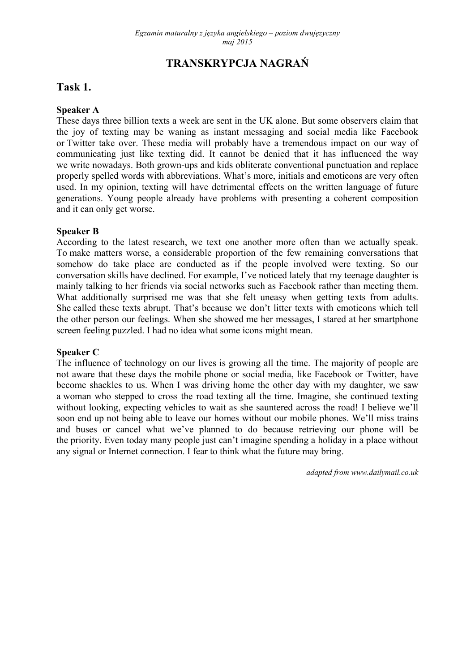# **TRANSKRYPCJA NAGRAŃ**

### **Task 1.**

#### **Speaker A**

These days three billion texts a week are sent in the UK alone. But some observers claim that the joy of texting may be waning as instant messaging and social media like Facebook or Twitter take over. These media will probably have a tremendous impact on our way of communicating just like texting did. It cannot be denied that it has influenced the way we write nowadays. Both grown-ups and kids obliterate conventional punctuation and replace properly spelled words with abbreviations. What's more, initials and emoticons are very often used. In my opinion, texting will have detrimental effects on the written language of future generations. Young people already have problems with presenting a coherent composition and it can only get worse.

#### **Speaker B**

According to the latest research, we text one another more often than we actually speak. To make matters worse, a considerable proportion of the few remaining conversations that somehow do take place are conducted as if the people involved were texting. So our conversation skills have declined. For example, I've noticed lately that my teenage daughter is mainly talking to her friends via social networks such as Facebook rather than meeting them. What additionally surprised me was that she felt uneasy when getting texts from adults. She called these texts abrupt. That's because we don't litter texts with emoticons which tell the other person our feelings. When she showed me her messages, I stared at her smartphone screen feeling puzzled. I had no idea what some icons might mean.

#### **Speaker C**

The influence of technology on our lives is growing all the time. The majority of people are not aware that these days the mobile phone or social media, like Facebook or Twitter, have become shackles to us. When I was driving home the other day with my daughter, we saw a woman who stepped to cross the road texting all the time. Imagine, she continued texting without looking, expecting vehicles to wait as she sauntered across the road! I believe we'll soon end up not being able to leave our homes without our mobile phones. We'll miss trains and buses or cancel what we've planned to do because retrieving our phone will be the priority. Even today many people just can't imagine spending a holiday in a place without any signal or Internet connection. I fear to think what the future may bring.

*adapted from www.dailymail.co.uk*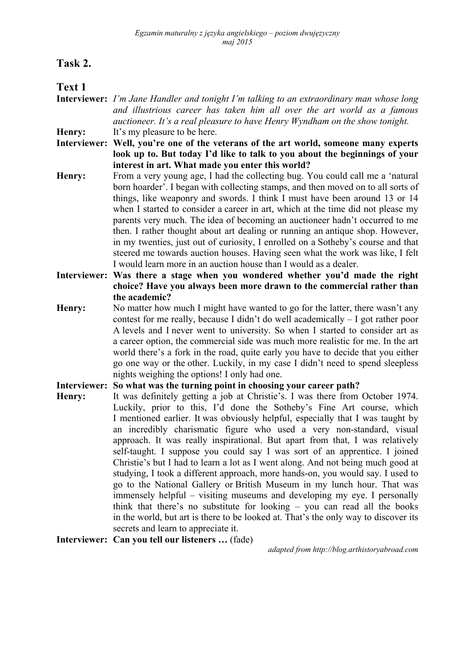## **Task 2.**

## **Text 1**

- **Interviewer:** *I'm Jane Handler and tonight I'm talking to an extraordinary man whose long and illustrious career has taken him all over the art world as a famous auctioneer. It's a real pleasure to have Henry Wyndham on the show tonight.*  **Henry:** It's my pleasure to be here.
- **Interviewer: Well, you're one of the veterans of the art world, someone many experts look up to. But today I'd like to talk to you about the beginnings of your interest in art. What made you enter this world?**
- **Henry:** From a very young age, I had the collecting bug. You could call me a 'natural born hoarder'. I began with collecting stamps, and then moved on to all sorts of things, like weaponry and swords. I think I must have been around 13 or 14 when I started to consider a career in art, which at the time did not please my parents very much. The idea of becoming an auctioneer hadn't occurred to me then. I rather thought about art dealing or running an antique shop. However, in my twenties, just out of curiosity, I enrolled on a Sotheby's course and that steered me towards auction houses. Having seen what the work was like, I felt I would learn more in an auction house than I would as a dealer.
- **Interviewer: Was there a stage when you wondered whether you'd made the right choice? Have you always been more drawn to the commercial rather than the academic?**
- **Henry:** No matter how much I might have wanted to go for the latter, there wasn't any contest for me really, because I didn't do well academically – I got rather poor A levels and I never went to university. So when I started to consider art as a career option, the commercial side was much more realistic for me. In the art world there's a fork in the road, quite early you have to decide that you either go one way or the other. Luckily, in my case I didn't need to spend sleepless nights weighing the options! I only had one.

### **Interviewer: So what was the turning point in choosing your career path?**

**Henry:** It was definitely getting a job at Christie's. I was there from October 1974. Luckily, prior to this, I'd done the Sotheby's Fine Art course, which I mentioned earlier. It was obviously helpful, especially that I was taught by an incredibly charismatic figure who used a very non-standard, visual approach. It was really inspirational. But apart from that, I was relatively self-taught. I suppose you could say I was sort of an apprentice. I joined Christie's but I had to learn a lot as I went along. And not being much good at studying, I took a different approach, more hands-on, you would say. I used to go to the National Gallery or British Museum in my lunch hour. That was immensely helpful – visiting museums and developing my eye. I personally think that there's no substitute for looking – you can read all the books in the world, but art is there to be looked at. That's the only way to discover its secrets and learn to appreciate it.

**Interviewer: Can you tell our listeners …** (fade)

*adapted from http://blog.arthistoryabroad.com*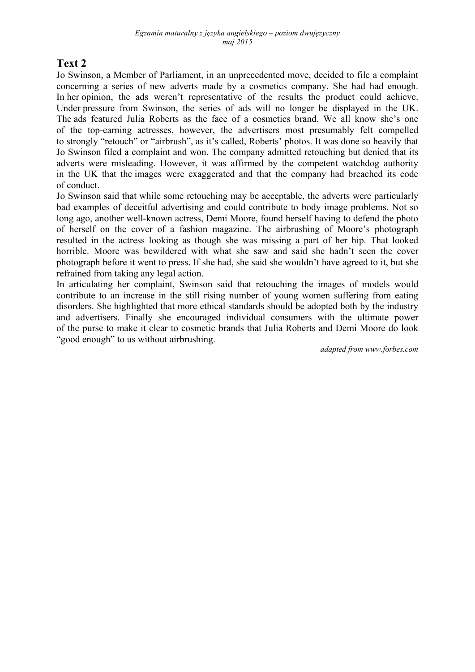# **Text 2**

Jo Swinson, a Member of Parliament, in an unprecedented move, decided to file a complaint concerning a series of new adverts made by a cosmetics company. She had had enough. In her opinion, the ads weren't representative of the results the product could achieve. Under pressure from Swinson, the series of ads will no longer be displayed in the UK. The ads featured Julia Roberts as the face of a cosmetics brand. We all know she's one of the top-earning actresses, however, the advertisers most presumably felt compelled to strongly "retouch" or "airbrush", as it's called, Roberts' photos. It was done so heavily that Jo Swinson filed a complaint and won. The company admitted retouching but denied that its adverts were misleading. However, it was affirmed by the competent watchdog authority in the UK that the images were exaggerated and that the company had breached its code of conduct.

Jo Swinson said that while some retouching may be acceptable, the adverts were particularly bad examples of deceitful advertising and could contribute to body image problems. Not so long ago, another well-known actress, Demi Moore, found herself having to defend the photo of herself on the cover of a fashion magazine. The airbrushing of Moore's photograph resulted in the actress looking as though she was missing a part of her hip. That looked horrible. Moore was bewildered with what she saw and said she hadn't seen the cover photograph before it went to press. If she had, she said she wouldn't have agreed to it, but she refrained from taking any legal action.

In articulating her complaint, Swinson said that retouching the images of models would contribute to an increase in the still rising number of young women suffering from eating disorders. She highlighted that more ethical standards should be adopted both by the industry and advertisers. Finally she encouraged individual consumers with the ultimate power of the purse to make it clear to cosmetic brands that Julia Roberts and Demi Moore do look "good enough" to us without airbrushing.

*adapted from www.forbes.com*